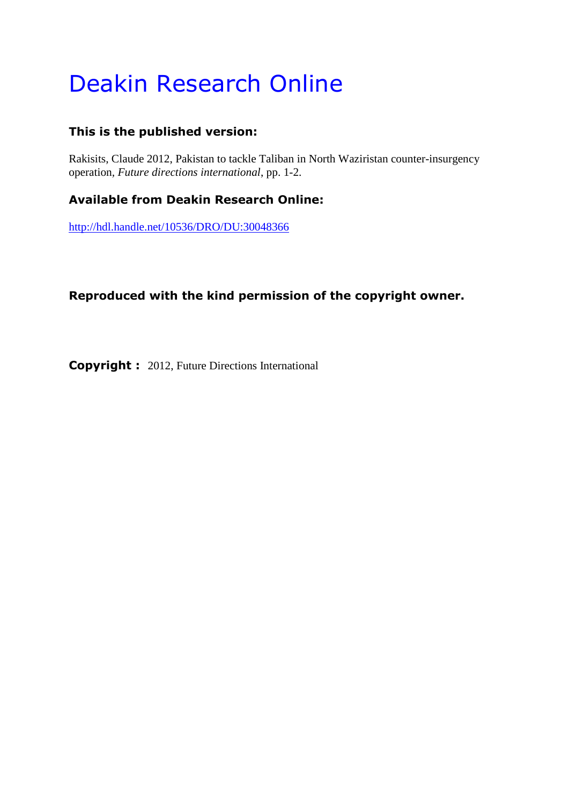# Deakin Research Online

# **This is the published version:**

Rakisits, Claude 2012, Pakistan to tackle Taliban in North Waziristan counter-insurgency operation*, Future directions international*, pp. 1-2.

# **Available from Deakin Research Online:**

<http://hdl.handle.net/10536/DRO/DU:30048366>

# **Reproduced with the kind permission of the copyright owner.**

**Copyright :** 2012, Future Directions International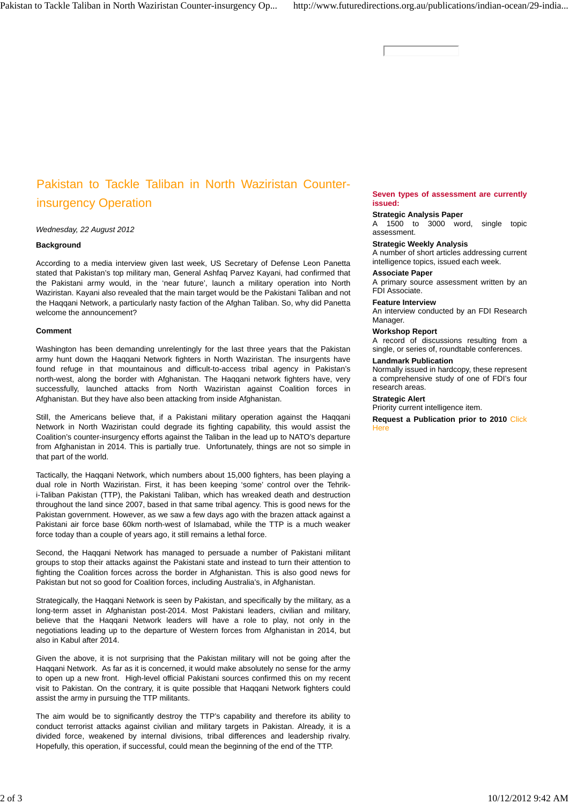# Pakistan to Tackle Taliban in North Waziristan Counterinsurgency Operation

*Wednesday, 22 August 2012*

#### **Background**

According to a media interview given last week, US Secretary of Defense Leon Panetta stated that Pakistan's top military man, General Ashfaq Parvez Kayani, had confirmed that the Pakistani army would, in the 'near future', launch a military operation into North Waziristan. Kayani also revealed that the main target would be the Pakistani Taliban and not the Haqqani Network, a particularly nasty faction of the Afghan Taliban. So, why did Panetta welcome the announcement?

### **Comment**

Washington has been demanding unrelentingly for the last three years that the Pakistan army hunt down the Haqqani Network fighters in North Waziristan. The insurgents have found refuge in that mountainous and difficult-to-access tribal agency in Pakistan's north-west, along the border with Afghanistan. The Haqqani network fighters have, very successfully, launched attacks from North Waziristan against Coalition forces in Afghanistan. But they have also been attacking from inside Afghanistan.

Still, the Americans believe that, if a Pakistani military operation against the Haqqani Network in North Waziristan could degrade its fighting capability, this would assist the Coalition's counter-insurgency efforts against the Taliban in the lead up to NATO's departure from Afghanistan in 2014. This is partially true. Unfortunately, things are not so simple in that part of the world.

Tactically, the Haqqani Network, which numbers about 15,000 fighters, has been playing a dual role in North Waziristan. First, it has been keeping 'some' control over the Tehriki-Taliban Pakistan (TTP), the Pakistani Taliban, which has wreaked death and destruction throughout the land since 2007, based in that same tribal agency. This is good news for the Pakistan government. However, as we saw a few days ago with the brazen attack against a Pakistani air force base 60km north-west of Islamabad, while the TTP is a much weaker force today than a couple of years ago, it still remains a lethal force.

Second, the Haqqani Network has managed to persuade a number of Pakistani militant groups to stop their attacks against the Pakistani state and instead to turn their attention to fighting the Coalition forces across the border in Afghanistan. This is also good news for Pakistan but not so good for Coalition forces, including Australia's, in Afghanistan.

Strategically, the Haqqani Network is seen by Pakistan, and specifically by the military, as a long-term asset in Afghanistan post-2014. Most Pakistani leaders, civilian and military, believe that the Haqqani Network leaders will have a role to play, not only in the negotiations leading up to the departure of Western forces from Afghanistan in 2014, but also in Kabul after 2014.

Given the above, it is not surprising that the Pakistan military will not be going after the Haqqani Network. As far as it is concerned, it would make absolutely no sense for the army to open up a new front. High-level official Pakistani sources confirmed this on my recent visit to Pakistan. On the contrary, it is quite possible that Haqqani Network fighters could assist the army in pursuing the TTP militants.

The aim would be to significantly destroy the TTP's capability and therefore its ability to conduct terrorist attacks against civilian and military targets in Pakistan. Already, it is a divided force, weakened by internal divisions, tribal differences and leadership rivalry. Hopefully, this operation, if successful, could mean the beginning of the end of the TTP.

### **Seven types of assessment are currently issued:**

#### **Strategic Analysis Paper**

A 1500 to 3000 word, single topic assessment.

### **Strategic Weekly Analysis**

A number of short articles addressing current intelligence topics, issued each week.

#### **Associate Paper**

A primary source assessment written by an FDI Associate.

#### **Feature Interview**

An interview conducted by an FDI Research Manager.

#### **Workshop Report**

A record of discussions resulting from a single, or series of, roundtable conferences.

#### **Landmark Publication**

Normally issued in hardcopy, these represent a comprehensive study of one of FDI's four research areas.

#### **Strategic Alert**

Priority current intelligence item.

**Request a Publication prior to 2010** Click **Here**